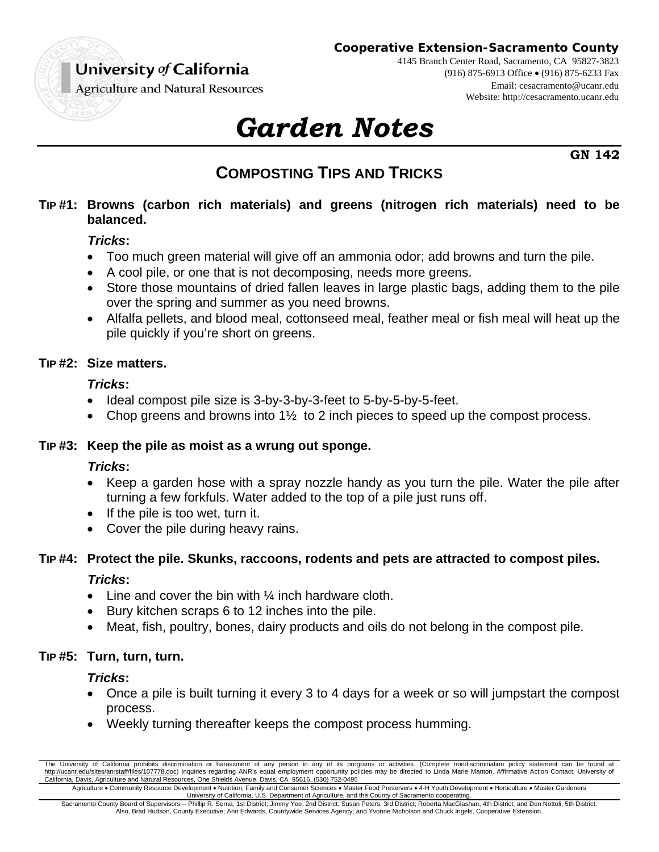

#### **Cooperative Extension-Sacramento County**

4145 Branch Center Road, Sacramento, CA 95827-3823 (916) 875-6913 Office (916) 875-6233 Fax Email: cesacramento@ucanr.edu Website: http://cesacramento.ucanr.edu

**Agriculture and Natural Resources** 

# *Garden Notes*

**GN 142** 

# **COMPOSTING TIPS AND TRICKS**

#### **TIP #1: Browns (carbon rich materials) and greens (nitrogen rich materials) need to be balanced.**

## *Tricks***:**

- Too much green material will give off an ammonia odor; add browns and turn the pile.
- A cool pile, or one that is not decomposing, needs more greens.
- Store those mountains of dried fallen leaves in large plastic bags, adding them to the pile over the spring and summer as you need browns.
- Alfalfa pellets, and blood meal, cottonseed meal, feather meal or fish meal will heat up the pile quickly if you're short on greens.

# **TIP #2: Size matters.**

# *Tricks***:**

- Ideal compost pile size is 3-by-3-by-3-feet to 5-by-5-by-5-feet.
- Chop greens and browns into  $1\frac{1}{2}$  to 2 inch pieces to speed up the compost process.

#### **TIP #3: Keep the pile as moist as a wrung out sponge.**

# *Tricks***:**

- Keep a garden hose with a spray nozzle handy as you turn the pile. Water the pile after turning a few forkfuls. Water added to the top of a pile just runs off.
- $\bullet$  If the pile is too wet, turn it.
- Cover the pile during heavy rains.

# **TIP #4: Protect the pile. Skunks, raccoons, rodents and pets are attracted to compost piles.**

# *Tricks***:**

- $\bullet$  Line and cover the bin with  $\frac{1}{4}$  inch hardware cloth.
- Bury kitchen scraps 6 to 12 inches into the pile.
- Meat, fish, poultry, bones, dairy products and oils do not belong in the compost pile.

# **TIP #5: Turn, turn, turn.**

#### *Tricks***:**

- Once a pile is built turning it every 3 to 4 days for a week or so will jumpstart the compost process.
- Weekly turning thereafter keeps the compost process humming.

The University of California prohibits discrimination or harassment of any person in any of its programs or activities. (Complete nondiscrimination policy statement can be found at http://ucanr.edu/sites/anrstaff/files/107778.doc) Inquiries regarding ANR's equal employment opportunity policies may be directed to Linda Marie Manton, Affirmative Action Contact, University of California, Davis, Agriculture and Natural Resources, One Shields Avenue, Davis, CA 95616, (530) 752-0495

Agriculture • Community Resource Development • Nutrition, Family and Consumer Sciences • Master Food Preservers • 4-H Youth Development • Horticulture • Master Gardeners University of California, U.S. Department of Agriculture, and the County of Sacramento cooperating. Sacramento County Board of Supervisors -- Phillip R. Serna, 1st District; Jimmy Yee, 2nd District; Susan Peters, 3rd District; Roberta MacGlashan, 4th District; and Don Nottoli, 5th District.

Also, Brad Hudson, County Executive; Ann Edwards, Countywide Services Agency; and Yvonne Nicholson and Chuck Ingels, Cooperative Extension.